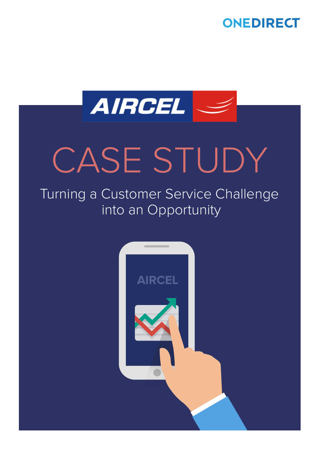



# CASE STUDY

### Turning a Customer Service Challenge into an Opportunity

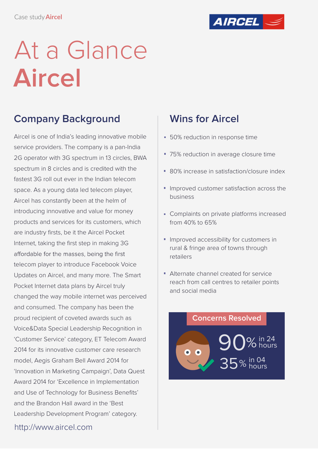

### At a Glance **Aircel**

### **Company Background Wins for Aircel**

Aircel is one of India's leading innovative mobile service providers. The company is a pan-India 2G operator with 3G spectrum in 13 circles, BWA spectrum in 8 circles and is credited with the fastest 3G roll out ever in the Indian telecom space. As a young data led telecom player, Aircel has constantly been at the helm of introducing innovative and value for money products and services for its customers, which are industry firsts, be it the Aircel Pocket Internet, taking the first step in making 3G affordable for the masses, being the first telecom player to introduce Facebook Voice Updates on Aircel, and many more. The Smart Pocket Internet data plans by Aircel truly changed the way mobile internet was perceived and consumed. The company has been the proud recipient of coveted awards such as Voice&Data Special Leadership Recognition in 'Customer Service' category, ET Telecom Award 2014 for its innovative customer care research model, Aegis Graham Bell Award 2014 for 'Innovation in Marketing Campaign', Data Quest Award 2014 for 'Excellence in Implementation and Use of Technology for Business Benefits' and the Brandon Hall award in the 'Best Leadership Development Program' category.

http://www.aircel.com

- **50% reduction in response time**
- 75% reduction in average closure time
- 80% increase in satisfaction/closure index
- **Improved customer satisfaction across the** business
- **Complaints on private platforms increased** from 40% to 65%
- **Improved accessibility for customers in** rural & fringe area of towns through retailers
- Alternate channel created for service reach from call centres to retailer points and social media

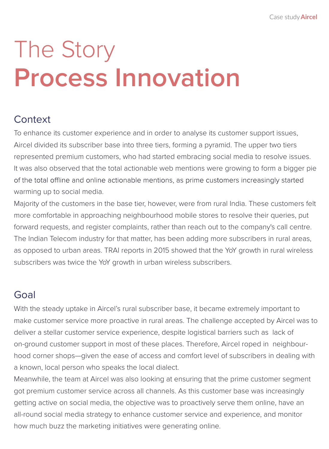### The Story **Process Innovation**

### **Context**

To enhance its customer experience and in order to analyse its customer support issues, Aircel divided its subscriber base into three tiers, forming a pyramid. The upper two tiers represented premium customers, who had started embracing social media to resolve issues. It was also observed that the total actionable web mentions were growing to form a bigger pie of the total offline and online actionable mentions, as prime customers increasingly started warming up to social media.

Majority of the customers in the base tier, however, were from rural India. These customers felt more comfortable in approaching neighbourhood mobile stores to resolve their queries, put forward requests, and register complaints, rather than reach out to the company's call centre. The Indian Telecom industry for that matter, has been adding more subscribers in rural areas, as opposed to urban areas. TRAI reports in 2015 showed that the YoY growth in rural wireless subscribers was twice the YoY growth in urban wireless subscribers.

#### Goal

With the steady uptake in Aircel's rural subscriber base, it became extremely important to make customer service more proactive in rural areas. The challenge accepted by Aircel was to deliver a stellar customer service experience, despite logistical barriers such as lack of on-ground customer support in most of these places. Therefore, Aircel roped in neighbourhood corner shops—given the ease of access and comfort level of subscribers in dealing with a known, local person who speaks the local dialect.

Meanwhile, the team at Aircel was also looking at ensuring that the prime customer segment got premium customer service across all channels. As this customer base was increasingly getting active on social media, the objective was to proactively serve them online, have an all-round social media strategy to enhance customer service and experience, and monitor how much buzz the marketing initiatives were generating online.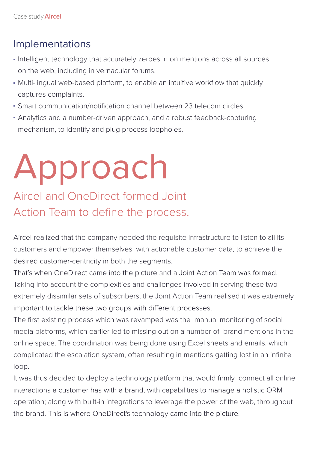#### Implementations

- Intelligent technology that accurately zeroes in on mentions across all sources on the web, including in vernacular forums.
- Multi-lingual web-based platform, to enable an intuitive workflow that quickly captures complaints.
- Smart communication/notification channel between 23 telecom circles.
- Analytics and a number-driven approach, and a robust feedback-capturing mechanism, to identify and plug process loopholes.

### Approach

### Aircel and OneDirect formed Joint Action Team to define the process.

Aircel realized that the company needed the requisite infrastructure to listen to all its customers and empower themselves with actionable customer data, to achieve the desired customer-centricity in both the segments.

That's when OneDirect came into the picture and a Joint Action Team was formed. Taking into account the complexities and challenges involved in serving these two extremely dissimilar sets of subscribers, the Joint Action Team realised it was extremely important to tackle these two groups with different processes.

The first existing process which was revamped was the manual monitoring of social media platforms, which earlier led to missing out on a number of brand mentions in the online space. The coordination was being done using Excel sheets and emails, which complicated the escalation system, often resulting in mentions getting lost in an infinite loop.

It was thus decided to deploy a technology platform that would firmly connect all online interactions a customer has with a brand, with capabilities to manage a holistic ORM operation; along with built-in integrations to leverage the power of the web, throughout the brand. This is where OneDirect's technology came into the picture.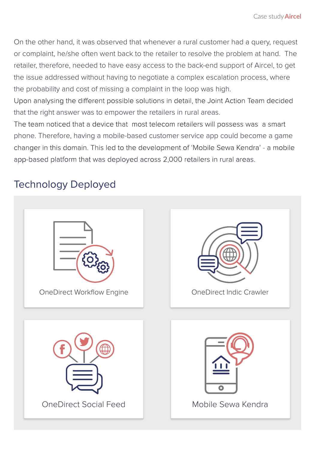On the other hand, it was observed that whenever a rural customer had a query, request or complaint, he/she often went back to the retailer to resolve the problem at hand. The retailer, therefore, needed to have easy access to the back-end support of Aircel, to get the issue addressed without having to negotiate a complex escalation process, where the probability and cost of missing a complaint in the loop was high.

Upon analysing the different possible solutions in detail, the Joint Action Team decided that the right answer was to empower the retailers in rural areas.

The team noticed that a device that most telecom retailers will possess was a smart phone. Therefore, having a mobile-based customer service app could become a game changer in this domain. This led to the development of 'Mobile Sewa Kendra' - a mobile app-based platform that was deployed across 2,000 retailers in rural areas.

### Technology Deployed

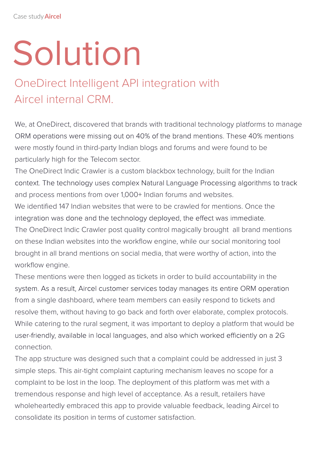# Solution

### OneDirect Intelligent API integration with Aircel internal CRM.

We, at OneDirect, discovered that brands with traditional technology platforms to manage ORM operations were missing out on 40% of the brand mentions. These 40% mentions were mostly found in third-party Indian blogs and forums and were found to be particularly high for the Telecom sector.

The OneDirect Indic Crawler is a custom blackbox technology, built for the Indian context. The technology uses complex Natural Language Processing algorithms to track and process mentions from over 1,000+ Indian forums and websites.

We identified 147 Indian websites that were to be crawled for mentions. Once the integration was done and the technology deployed, the effect was immediate.

The OneDirect Indic Crawler post quality control magically brought all brand mentions on these Indian websites into the workflow engine, while our social monitoring tool brought in all brand mentions on social media, that were worthy of action, into the workflow engine.

These mentions were then logged as tickets in order to build accountability in the system. As a result, Aircel customer services today manages its entire ORM operation from a single dashboard, where team members can easily respond to tickets and resolve them, without having to go back and forth over elaborate, complex protocols. While catering to the rural segment, it was important to deploy a platform that would be user-friendly, available in local languages, and also which worked efficiently on a 2G connection.

The app structure was designed such that a complaint could be addressed in just 3 simple steps. This air-tight complaint capturing mechanism leaves no scope for a complaint to be lost in the loop. The deployment of this platform was met with a tremendous response and high level of acceptance. As a result, retailers have wholeheartedly embraced this app to provide valuable feedback, leading Aircel to consolidate its position in terms of customer satisfaction.